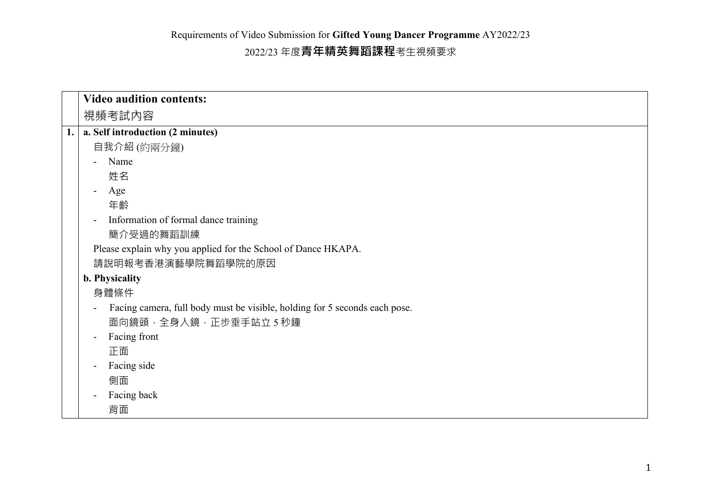|    | <b>Video audition contents:</b>                                            |
|----|----------------------------------------------------------------------------|
|    | 視頻考試內容                                                                     |
| 1. | a. Self introduction (2 minutes)                                           |
|    | 自我介紹 (約兩分鐘)                                                                |
|    | Name                                                                       |
|    | 姓名                                                                         |
|    | Age                                                                        |
|    | 年齡                                                                         |
|    | Information of formal dance training                                       |
|    | 簡介受過的舞蹈訓練                                                                  |
|    | Please explain why you applied for the School of Dance HKAPA.              |
|    | 請說明報考香港演藝學院舞蹈學院的原因                                                         |
|    | b. Physicality                                                             |
|    | 身體條件                                                                       |
|    | Facing camera, full body must be visible, holding for 5 seconds each pose. |
|    | 面向鏡頭, 全身入鏡, 正步垂手站立 5 秒鐘                                                    |
|    | Facing front                                                               |
|    | 正面                                                                         |
|    | Facing side                                                                |
|    | 側面                                                                         |
|    | Facing back                                                                |
|    | 背面                                                                         |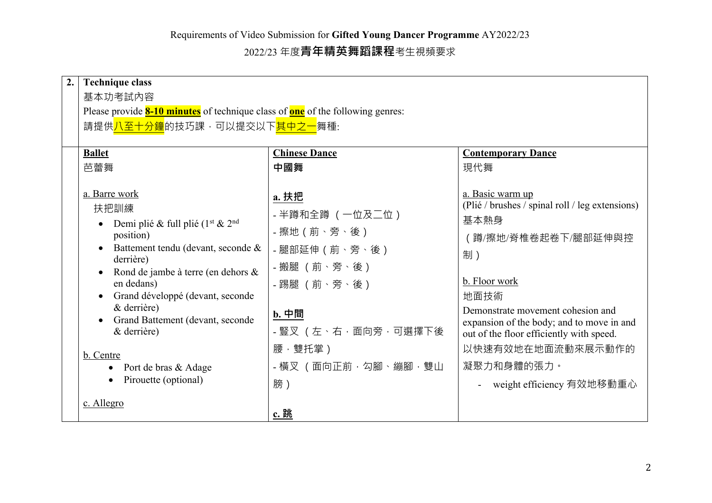2022/23 年度**青年精英舞蹈課程**考生視頻要求

| 2. | <b>Technique class</b>                                                                                                                                                                                                                                                                                                                                                                  |                                                                                                                                                                           |                                                                                                                                                                                                                                                                                                                                  |  |  |
|----|-----------------------------------------------------------------------------------------------------------------------------------------------------------------------------------------------------------------------------------------------------------------------------------------------------------------------------------------------------------------------------------------|---------------------------------------------------------------------------------------------------------------------------------------------------------------------------|----------------------------------------------------------------------------------------------------------------------------------------------------------------------------------------------------------------------------------------------------------------------------------------------------------------------------------|--|--|
|    | 基本功考試内容                                                                                                                                                                                                                                                                                                                                                                                 |                                                                                                                                                                           |                                                                                                                                                                                                                                                                                                                                  |  |  |
|    | Please provide <b>8-10 minutes</b> of technique class of <b>one</b> of the following genres:                                                                                                                                                                                                                                                                                            |                                                                                                                                                                           |                                                                                                                                                                                                                                                                                                                                  |  |  |
|    | 請提供 <mark>八至十分鐘</mark> 的技巧課,可以提交以下 <mark>其中之一</mark> 舞種:                                                                                                                                                                                                                                                                                                                                |                                                                                                                                                                           |                                                                                                                                                                                                                                                                                                                                  |  |  |
|    | <b>Ballet</b>                                                                                                                                                                                                                                                                                                                                                                           | <b>Chinese Dance</b>                                                                                                                                                      | <b>Contemporary Dance</b>                                                                                                                                                                                                                                                                                                        |  |  |
|    | 芭蕾舞                                                                                                                                                                                                                                                                                                                                                                                     | 中國舞                                                                                                                                                                       | 現代舞                                                                                                                                                                                                                                                                                                                              |  |  |
|    | a. Barre work<br>扶把訓練<br>Demi plié & full plié (1 <sup>st</sup> & 2 <sup>nd</sup><br>position)<br>Battement tendu (devant, seconde &<br>derrière)<br>Rond de jambe à terre (en dehors &<br>en dedans)<br>Grand développé (devant, seconde<br>& derrière)<br>Grand Battement (devant, seconde<br>$&$ derrière)<br>b. Centre<br>Port de bras & Adage<br>$\bullet$<br>Pirouette (optional) | a. 扶把<br>- 半蹲和全蹲 (一位及二位)<br>- 擦地 (前、旁、後)<br>- 腿部延伸 (前、旁、後)<br>- 搬腿 (前、旁、後)<br>- 踢腿 (前、旁、後)<br><u>b. 中間</u><br>- 豎叉 (左、右,面向旁,可選擇下後<br>腰, 雙托掌)<br>- 橫叉 (面向正前,勾腳、繃腳,雙山<br>膀) | a. Basic warm up<br>(Plié / brushes / spinal roll / leg extensions)<br>基本熱身<br>( 蹲/擦地/脊椎卷起卷下/腿部延伸與控<br>制)<br>b. Floor work<br>地面技術<br>Demonstrate movement cohesion and<br>expansion of the body; and to move in and<br>out of the floor efficiently with speed.<br>以快速有效地在地面流動來展示動作的<br>凝聚力和身體的張力。<br>weight efficiency 有效地移動重心 |  |  |
|    | c. Allegro                                                                                                                                                                                                                                                                                                                                                                              | c. 跳                                                                                                                                                                      |                                                                                                                                                                                                                                                                                                                                  |  |  |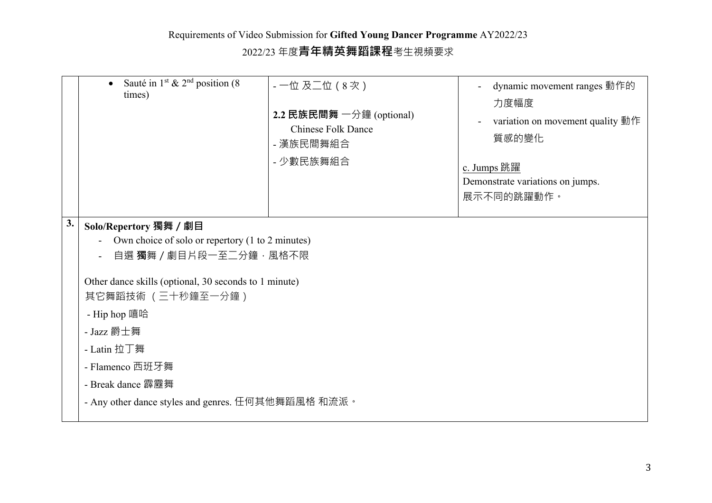2022/23 年度**青年精英舞蹈課程**考生視頻要求

|    | Sauté in 1 <sup>st</sup> & 2 <sup>nd</sup> position (8)<br>$\bullet$<br>times)                                                                                                                                        | - 一位 及二位 (8次)<br>2.2 民族民間舞 $-\frac{1}{2}$ 鐘 (optional)<br><b>Chinese Folk Dance</b><br>- 漢族民間舞組合<br>- 少數民族舞組合 | dynamic movement ranges 動作的<br>力度幅度<br>variation on movement quality 動作<br>$\blacksquare$<br>質感的變化<br>c. Jumps 跳躍<br>Demonstrate variations on jumps.<br>展示不同的跳躍動作。 |  |  |
|----|-----------------------------------------------------------------------------------------------------------------------------------------------------------------------------------------------------------------------|---------------------------------------------------------------------------------------------------------------|---------------------------------------------------------------------------------------------------------------------------------------------------------------------|--|--|
| 3. | Solo/Repertory 獨舞 / 劇目                                                                                                                                                                                                |                                                                                                               |                                                                                                                                                                     |  |  |
|    | Own choice of solo or repertory (1 to 2 minutes)                                                                                                                                                                      |                                                                                                               |                                                                                                                                                                     |  |  |
|    | 自選 獨舞 / 劇目片段一至二分鐘,風格不限                                                                                                                                                                                                |                                                                                                               |                                                                                                                                                                     |  |  |
|    | Other dance skills (optional, 30 seconds to 1 minute)<br>其它舞蹈技術 (三十秒鐘至一分鐘)<br>- Hip hop 嘻哈<br>- Jazz 爵士舞<br>- Latin 拉丁舞<br>- Flamenco 西班牙舞<br>- Break dance 霹靂舞<br>- Any other dance styles and genres. 任何其他舞蹈風格 和流派。 |                                                                                                               |                                                                                                                                                                     |  |  |